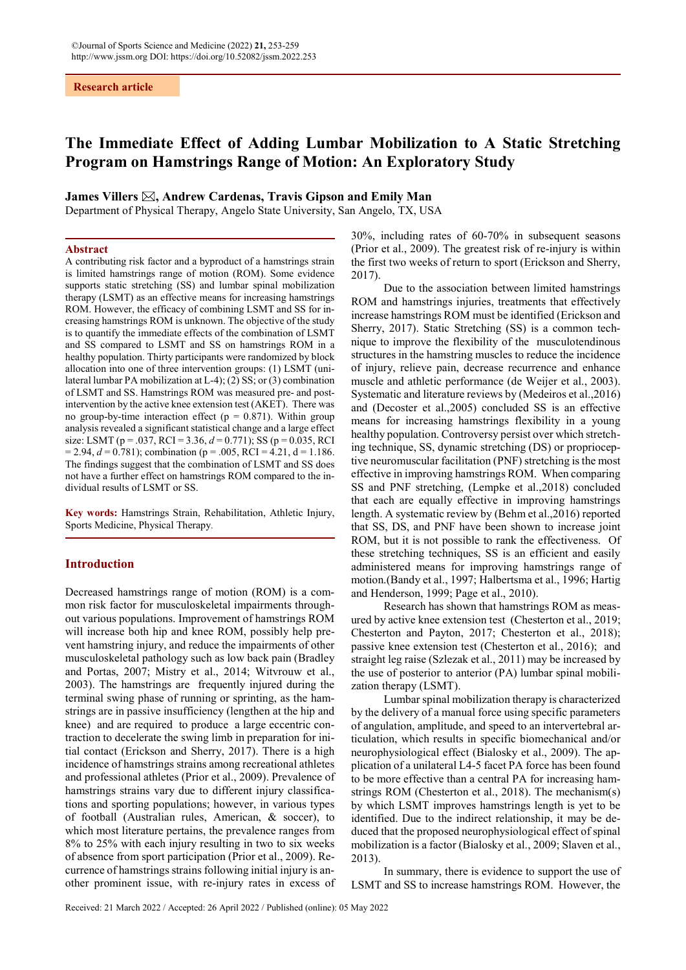# The Immediate Effect of Adding Lumbar Mobilization to A Static Stretching Program on Hamstrings Range of Motion: An Exploratory Study

James Villers  $\boxtimes$ , Andrew Cardenas, Travis Gipson and Emily Man

Department of Physical Therapy, Angelo State University, San Angelo, TX, USA

# Abstract

A contributing risk factor and a byproduct of a hamstrings strain is limited hamstrings range of motion (ROM). Some evidence supports static stretching (SS) and lumbar spinal mobilization therapy (LSMT) as an effective means for increasing hamstrings ROM. However, the efficacy of combining LSMT and SS for increasing hamstrings ROM is unknown. The objective of the study is to quantify the immediate effects of the combination of LSMT and SS compared to LSMT and SS on hamstrings ROM in a healthy population. Thirty participants were randomized by block allocation into one of three intervention groups: (1) LSMT (unilateral lumbar PA mobilization at L-4); (2) SS; or (3) combination of LSMT and SS. Hamstrings ROM was measured pre- and postintervention by the active knee extension test (AKET). There was no group-by-time interaction effect ( $p = 0.871$ ). Within group analysis revealed a significant statistical change and a large effect size: LSMT (p = .037, RCI = 3.36,  $d = 0.771$ ); SS (p = 0.035, RCI  $= 2.94, d = 0.781$ ; combination (p = .005, RCI = 4.21, d = 1.186. The findings suggest that the combination of LSMT and SS does not have a further effect on hamstrings ROM compared to the individual results of LSMT or SS.

Key words: Hamstrings Strain, Rehabilitation, Athletic Injury, Sports Medicine, Physical Therapy.

### Introduction

Decreased hamstrings range of motion (ROM) is a common risk factor for musculoskeletal impairments throughout various populations. Improvement of hamstrings ROM will increase both hip and knee ROM, possibly help prevent hamstring injury, and reduce the impairments of other musculoskeletal pathology such as low back pain (Bradley and Portas, 2007; Mistry et al., 2014; Witvrouw et al., 2003). The hamstrings are frequently injured during the terminal swing phase of running or sprinting, as the hamstrings are in passive insufficiency (lengthen at the hip and knee) and are required to produce a large eccentric contraction to decelerate the swing limb in preparation for initial contact (Erickson and Sherry, 2017). There is a high incidence of hamstrings strains among recreational athletes and professional athletes (Prior et al., 2009). Prevalence of hamstrings strains vary due to different injury classifications and sporting populations; however, in various types of football (Australian rules, American, & soccer), to which most literature pertains, the prevalence ranges from 8% to 25% with each injury resulting in two to six weeks of absence from sport participation (Prior et al., 2009). Recurrence of hamstrings strains following initial injury is another prominent issue, with re-injury rates in excess of 30%, including rates of 60-70% in subsequent seasons (Prior et al., 2009). The greatest risk of re-injury is within the first two weeks of return to sport (Erickson and Sherry, 2017).

Due to the association between limited hamstrings ROM and hamstrings injuries, treatments that effectively increase hamstrings ROM must be identified (Erickson and Sherry, 2017). Static Stretching (SS) is a common technique to improve the flexibility of the musculotendinous structures in the hamstring muscles to reduce the incidence of injury, relieve pain, decrease recurrence and enhance muscle and athletic performance (de Weijer et al., 2003). Systematic and literature reviews by (Medeiros et al.,2016) and (Decoster et al.,2005) concluded SS is an effective means for increasing hamstrings flexibility in a young healthy population. Controversy persist over which stretching technique, SS, dynamic stretching (DS) or proprioceptive neuromuscular facilitation (PNF) stretching is the most effective in improving hamstrings ROM. When comparing SS and PNF stretching, (Lempke et al.,2018) concluded that each are equally effective in improving hamstrings length. A systematic review by (Behm et al.,2016) reported that SS, DS, and PNF have been shown to increase joint ROM, but it is not possible to rank the effectiveness. Of these stretching techniques, SS is an efficient and easily administered means for improving hamstrings range of motion.(Bandy et al., 1997; Halbertsma et al., 1996; Hartig and Henderson, 1999; Page et al., 2010).

Research has shown that hamstrings ROM as measured by active knee extension test (Chesterton et al., 2019; Chesterton and Payton, 2017; Chesterton et al., 2018); passive knee extension test (Chesterton et al., 2016); and straight leg raise (Szlezak et al., 2011) may be increased by the use of posterior to anterior (PA) lumbar spinal mobilization therapy (LSMT).

Lumbar spinal mobilization therapy is characterized by the delivery of a manual force using specific parameters of angulation, amplitude, and speed to an intervertebral articulation, which results in specific biomechanical and/or neurophysiological effect (Bialosky et al., 2009). The application of a unilateral L4-5 facet PA force has been found to be more effective than a central PA for increasing hamstrings ROM (Chesterton et al., 2018). The mechanism(s) by which LSMT improves hamstrings length is yet to be identified. Due to the indirect relationship, it may be deduced that the proposed neurophysiological effect of spinal mobilization is a factor (Bialosky et al., 2009; Slaven et al., 2013).

In summary, there is evidence to support the use of LSMT and SS to increase hamstrings ROM. However, the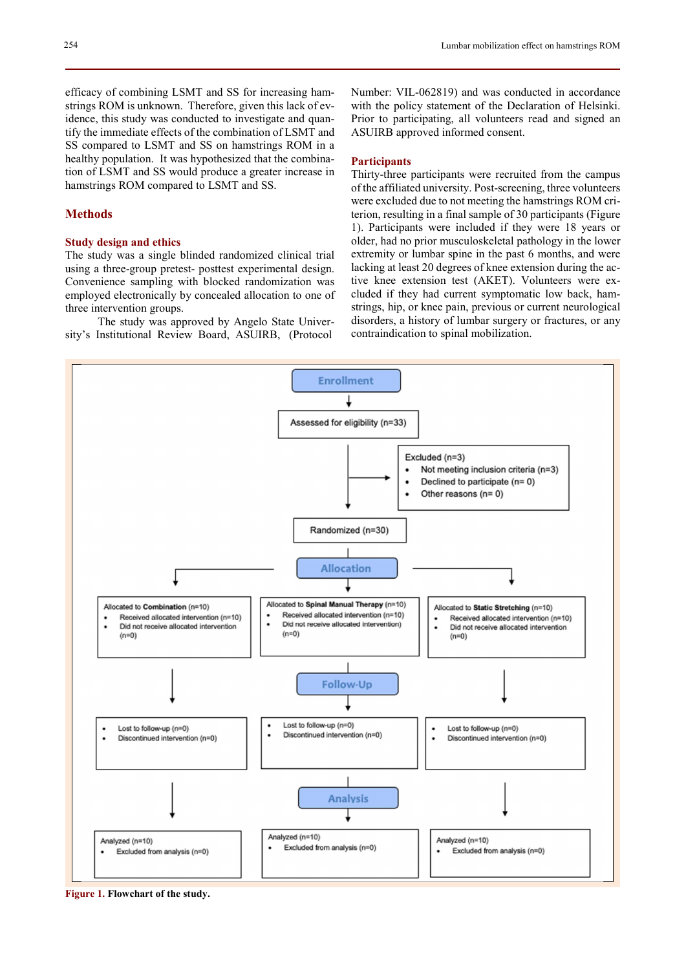efficacy of combining LSMT and SS for increasing hamstrings ROM is unknown. Therefore, given this lack of evidence, this study was conducted to investigate and quantify the immediate effects of the combination of LSMT and SS compared to LSMT and SS on hamstrings ROM in a healthy population. It was hypothesized that the combination of LSMT and SS would produce a greater increase in hamstrings ROM compared to LSMT and SS.

# Methods

# Study design and ethics

The study was a single blinded randomized clinical trial using a three-group pretest- posttest experimental design. Convenience sampling with blocked randomization was employed electronically by concealed allocation to one of three intervention groups.

The study was approved by Angelo State University's Institutional Review Board, ASUIRB, (Protocol

Number: VIL-062819) and was conducted in accordance with the policy statement of the Declaration of Helsinki. Prior to participating, all volunteers read and signed an ASUIRB approved informed consent.

# **Participants**

Thirty-three participants were recruited from the campus of the affiliated university. Post-screening, three volunteers were excluded due to not meeting the hamstrings ROM criterion, resulting in a final sample of 30 participants (Figure 1). Participants were included if they were 18 years or older, had no prior musculoskeletal pathology in the lower extremity or lumbar spine in the past 6 months, and were lacking at least 20 degrees of knee extension during the active knee extension test (AKET). Volunteers were excluded if they had current symptomatic low back, hamstrings, hip, or knee pain, previous or current neurological disorders, a history of lumbar surgery or fractures, or any contraindication to spinal mobilization.



Figure 1. Flowchart of the study.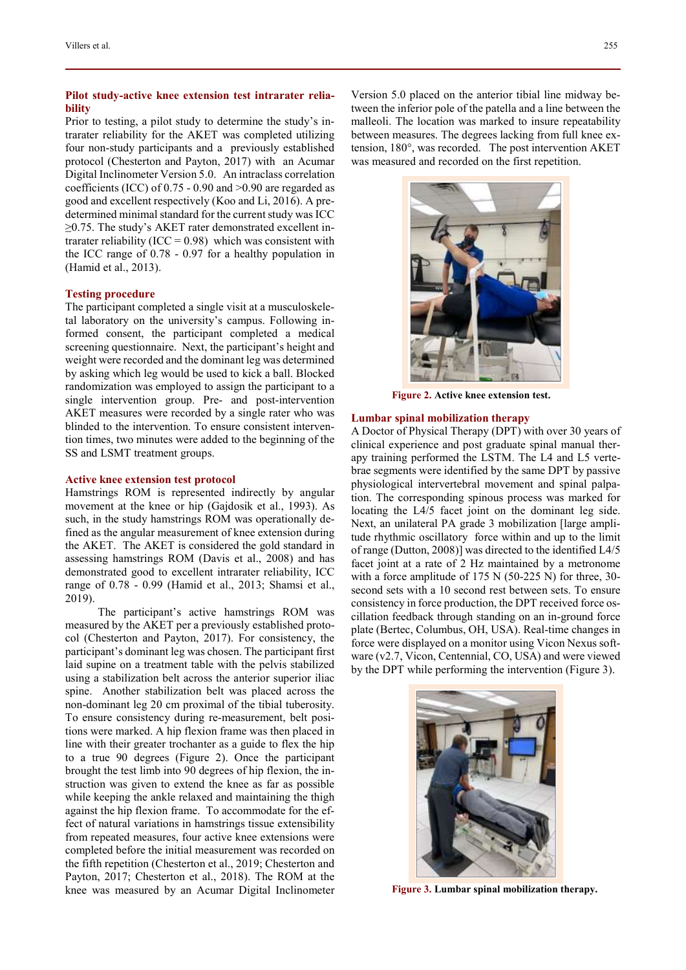# Pilot study-active knee extension test intrarater reliability

Prior to testing, a pilot study to determine the study's intrarater reliability for the AKET was completed utilizing four non-study participants and a previously established protocol (Chesterton and Payton, 2017) with an Acumar Digital Inclinometer Version 5.0. An intraclass correlation coefficients (ICC) of 0.75 - 0.90 and >0.90 are regarded as good and excellent respectively (Koo and Li, 2016). A predetermined minimal standard for the current study was ICC ≥0.75. The study's AKET rater demonstrated excellent intrarater reliability (ICC =  $0.98$ ) which was consistent with the ICC range of 0.78 - 0.97 for a healthy population in (Hamid et al., 2013).

# Testing procedure

The participant completed a single visit at a musculoskeletal laboratory on the university's campus. Following informed consent, the participant completed a medical screening questionnaire. Next, the participant's height and weight were recorded and the dominant leg was determined by asking which leg would be used to kick a ball. Blocked randomization was employed to assign the participant to a single intervention group. Pre- and post-intervention AKET measures were recorded by a single rater who was blinded to the intervention. To ensure consistent intervention times, two minutes were added to the beginning of the SS and LSMT treatment groups.

#### Active knee extension test protocol

Hamstrings ROM is represented indirectly by angular movement at the knee or hip (Gajdosik et al., 1993). As such, in the study hamstrings ROM was operationally defined as the angular measurement of knee extension during the AKET. The AKET is considered the gold standard in assessing hamstrings ROM (Davis et al., 2008) and has demonstrated good to excellent intrarater reliability, ICC range of 0.78 - 0.99 (Hamid et al., 2013; Shamsi et al., 2019).

The participant's active hamstrings ROM was measured by the AKET per a previously established protocol (Chesterton and Payton, 2017). For consistency, the participant's dominant leg was chosen. The participant first laid supine on a treatment table with the pelvis stabilized using a stabilization belt across the anterior superior iliac spine. Another stabilization belt was placed across the non-dominant leg 20 cm proximal of the tibial tuberosity. To ensure consistency during re-measurement, belt positions were marked. A hip flexion frame was then placed in line with their greater trochanter as a guide to flex the hip to a true 90 degrees (Figure 2). Once the participant brought the test limb into 90 degrees of hip flexion, the instruction was given to extend the knee as far as possible while keeping the ankle relaxed and maintaining the thigh against the hip flexion frame. To accommodate for the effect of natural variations in hamstrings tissue extensibility from repeated measures, four active knee extensions were completed before the initial measurement was recorded on the fifth repetition (Chesterton et al., 2019; Chesterton and Payton, 2017; Chesterton et al., 2018). The ROM at the knee was measured by an Acumar Digital Inclinometer

Version 5.0 placed on the anterior tibial line midway between the inferior pole of the patella and a line between the malleoli. The location was marked to insure repeatability between measures. The degrees lacking from full knee extension, 180°, was recorded. The post intervention AKET was measured and recorded on the first repetition.



Figure 2. Active knee extension test.

#### Lumbar spinal mobilization therapy

A Doctor of Physical Therapy (DPT) with over 30 years of clinical experience and post graduate spinal manual therapy training performed the LSTM. The L4 and L5 vertebrae segments were identified by the same DPT by passive physiological intervertebral movement and spinal palpation. The corresponding spinous process was marked for locating the L4/5 facet joint on the dominant leg side. Next, an unilateral PA grade 3 mobilization [large amplitude rhythmic oscillatory force within and up to the limit of range (Dutton, 2008)] was directed to the identified L4/5 facet joint at a rate of 2 Hz maintained by a metronome with a force amplitude of 175 N (50-225 N) for three, 30second sets with a 10 second rest between sets. To ensure consistency in force production, the DPT received force oscillation feedback through standing on an in-ground force plate (Bertec, Columbus, OH, USA). Real-time changes in force were displayed on a monitor using Vicon Nexus software (v2.7, Vicon, Centennial, CO, USA) and were viewed by the DPT while performing the intervention (Figure 3).



Figure 3. Lumbar spinal mobilization therapy.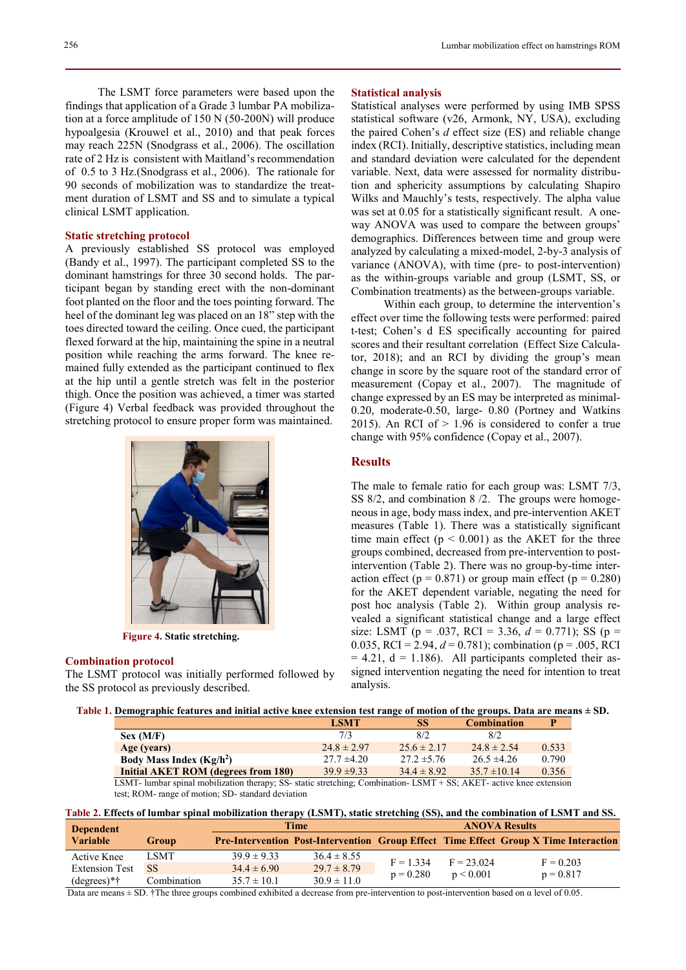The LSMT force parameters were based upon the findings that application of a Grade 3 lumbar PA mobilization at a force amplitude of 150 N (50-200N) will produce hypoalgesia (Krouwel et al., 2010) and that peak forces may reach 225N (Snodgrass et al., 2006). The oscillation rate of 2 Hz is consistent with Maitland's recommendation of 0.5 to 3 Hz.(Snodgrass et al., 2006). The rationale for 90 seconds of mobilization was to standardize the treatment duration of LSMT and SS and to simulate a typical clinical LSMT application.

# Static stretching protocol

A previously established SS protocol was employed (Bandy et al., 1997). The participant completed SS to the dominant hamstrings for three 30 second holds. The participant began by standing erect with the non-dominant foot planted on the floor and the toes pointing forward. The heel of the dominant leg was placed on an 18" step with the toes directed toward the ceiling. Once cued, the participant flexed forward at the hip, maintaining the spine in a neutral position while reaching the arms forward. The knee remained fully extended as the participant continued to flex at the hip until a gentle stretch was felt in the posterior thigh. Once the position was achieved, a timer was started (Figure 4) Verbal feedback was provided throughout the stretching protocol to ensure proper form was maintained.



Figure 4. Static stretching.

#### Combination protocol

The LSMT protocol was initially performed followed by the SS protocol as previously described.

# Statistical analysis

Statistical analyses were performed by using IMB SPSS statistical software (v26, Armonk, NY, USA), excluding the paired Cohen's  $d$  effect size (ES) and reliable change index (RCI). Initially, descriptive statistics, including mean and standard deviation were calculated for the dependent variable. Next, data were assessed for normality distribution and sphericity assumptions by calculating Shapiro Wilks and Mauchly's tests, respectively. The alpha value was set at 0.05 for a statistically significant result. A oneway ANOVA was used to compare the between groups' demographics. Differences between time and group were analyzed by calculating a mixed-model, 2-by-3 analysis of variance (ANOVA), with time (pre- to post-intervention) as the within-groups variable and group (LSMT, SS, or Combination treatments) as the between-groups variable.

Within each group, to determine the intervention's effect over time the following tests were performed: paired t-test; Cohen's d ES specifically accounting for paired scores and their resultant correlation (Effect Size Calculator, 2018); and an RCI by dividing the group's mean change in score by the square root of the standard error of measurement (Copay et al., 2007). The magnitude of change expressed by an ES may be interpreted as minimal-0.20, moderate-0.50, large- 0.80 (Portney and Watkins 2015). An RCI of  $> 1.96$  is considered to confer a true change with 95% confidence (Copay et al., 2007).

# **Results**

The male to female ratio for each group was: LSMT 7/3, SS 8/2, and combination 8 /2. The groups were homogeneous in age, body mass index, and pre-intervention AKET measures (Table 1). There was a statistically significant time main effect  $(p < 0.001)$  as the AKET for the three groups combined, decreased from pre-intervention to postintervention (Table 2). There was no group-by-time interaction effect ( $p = 0.871$ ) or group main effect ( $p = 0.280$ ) for the AKET dependent variable, negating the need for post hoc analysis (Table 2). Within group analysis revealed a significant statistical change and a large effect size: LSMT (p = .037, RCI = 3.36,  $d = 0.771$ ); SS (p = 0.035, RCI = 2.94,  $d = 0.781$ ; combination (p = .005, RCI  $= 4.21$ ,  $d = 1.186$ ). All participants completed their assigned intervention negating the need for intention to treat analysis.

| Table 1. Demographic features and initial active knee extension test range of motion of the groups. Data are means ± SD. |  |
|--------------------------------------------------------------------------------------------------------------------------|--|
|                                                                                                                          |  |

|                                     | <b>LSMT</b>     | SS              | <b>Combination</b> |       |
|-------------------------------------|-----------------|-----------------|--------------------|-------|
| Sex (M/F)                           | 7/3             | 8/2             | 8/2                |       |
| Age (years)                         | $24.8 \pm 2.97$ | $25.6 \pm 2.17$ | $24.8 \pm 2.54$    | 0.533 |
| Body Mass Index $(Kg/h2)$           | $27.7 \pm 4.20$ | $27.2 \pm 5.76$ | $26.5 \pm 4.26$    | 0.790 |
| Initial AKET ROM (degrees from 180) | $39.9 \pm 9.33$ | $34.4 \pm 8.92$ | $35.7 \pm 10.14$   | 0.356 |

LSMT- lumbar spinal mobilization therapy; SS- static stretching; Combination- LSMT + SS; AKET- active knee extension test; ROM- range of motion; SD- standard deviation

| Table 2. Effects of lumbar spinal mobilization therapy (LSMT), static stretching (SS), and the combination of LSMT and SS. |  |  |
|----------------------------------------------------------------------------------------------------------------------------|--|--|
|                                                                                                                            |  |  |

| <b>Dependent</b>      |             | <b>Time</b>     |                 | <b>ANOVA Results</b>       |                           |                                                                                             |
|-----------------------|-------------|-----------------|-----------------|----------------------------|---------------------------|---------------------------------------------------------------------------------------------|
| <b>Variable</b>       | Group       |                 |                 |                            |                           | <b>Pre-Intervention Post-Intervention Group Effect Time Effect Group X Time Interaction</b> |
| Active Knee           | <b>LSMT</b> | $39.9 \pm 9.33$ | $36.4 \pm 8.55$ | $F = 1.334$<br>$p = 0.280$ | $F = 23.024$<br>p < 0.001 | $F = 0.203$<br>$p = 0.817$                                                                  |
| <b>Extension Test</b> | <b>SS</b>   | $34.4 \pm 6.90$ | $29.7 \pm 8.79$ |                            |                           |                                                                                             |
| $(degrees)*†$         | Combination | $35.7 \pm 10.1$ | $30.9 \pm 11.0$ |                            |                           |                                                                                             |

Data are means  $\pm$  SD, †The three groups combined exhibited a decrease from pre-intervention to post-intervention based on  $\alpha$  level of 0.05.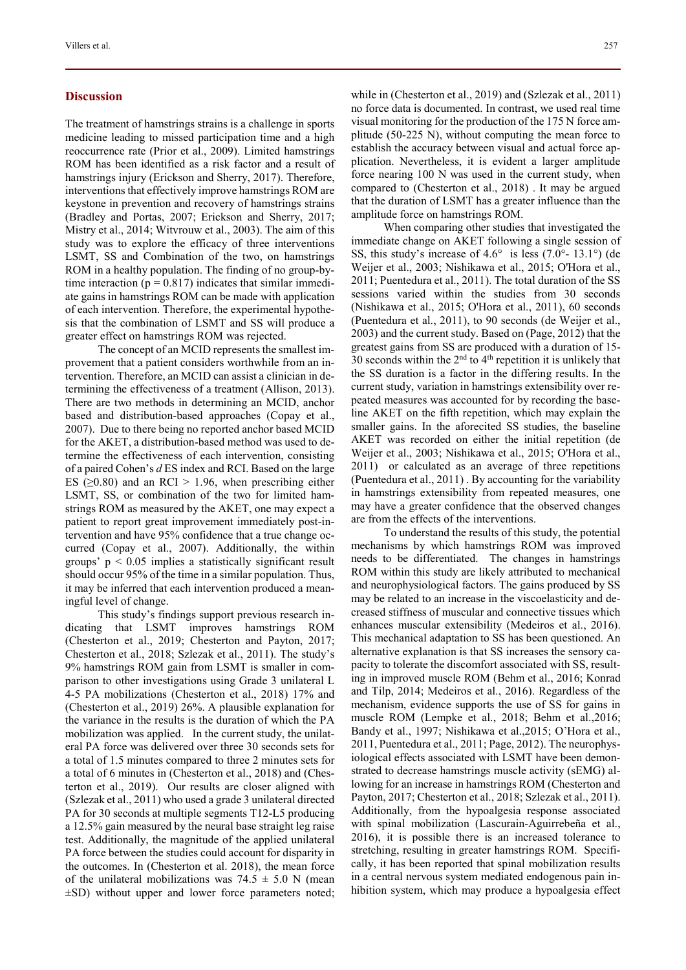### **Discussion**

The treatment of hamstrings strains is a challenge in sports medicine leading to missed participation time and a high reoccurrence rate (Prior et al., 2009). Limited hamstrings ROM has been identified as a risk factor and a result of hamstrings injury (Erickson and Sherry, 2017). Therefore, interventions that effectively improve hamstrings ROM are keystone in prevention and recovery of hamstrings strains (Bradley and Portas, 2007; Erickson and Sherry, 2017; Mistry et al., 2014; Witvrouw et al., 2003). The aim of this study was to explore the efficacy of three interventions LSMT, SS and Combination of the two, on hamstrings ROM in a healthy population. The finding of no group-bytime interaction ( $p = 0.817$ ) indicates that similar immediate gains in hamstrings ROM can be made with application of each intervention. Therefore, the experimental hypothesis that the combination of LSMT and SS will produce a greater effect on hamstrings ROM was rejected.

The concept of an MCID represents the smallest improvement that a patient considers worthwhile from an intervention. Therefore, an MCID can assist a clinician in determining the effectiveness of a treatment (Allison, 2013). There are two methods in determining an MCID, anchor based and distribution-based approaches (Copay et al., 2007). Due to there being no reported anchor based MCID for the AKET, a distribution-based method was used to determine the effectiveness of each intervention, consisting of a paired Cohen's d ES index and RCI. Based on the large ES ( $\geq$ 0.80) and an RCI > 1.96, when prescribing either LSMT, SS, or combination of the two for limited hamstrings ROM as measured by the AKET, one may expect a patient to report great improvement immediately post-intervention and have 95% confidence that a true change occurred (Copay et al., 2007). Additionally, the within groups'  $p < 0.05$  implies a statistically significant result should occur 95% of the time in a similar population. Thus, it may be inferred that each intervention produced a meaningful level of change.

This study's findings support previous research indicating that LSMT improves hamstrings ROM (Chesterton et al., 2019; Chesterton and Payton, 2017; Chesterton et al., 2018; Szlezak et al., 2011). The study's 9% hamstrings ROM gain from LSMT is smaller in comparison to other investigations using Grade 3 unilateral L 4-5 PA mobilizations (Chesterton et al., 2018) 17% and (Chesterton et al., 2019) 26%. A plausible explanation for the variance in the results is the duration of which the PA mobilization was applied. In the current study, the unilateral PA force was delivered over three 30 seconds sets for a total of 1.5 minutes compared to three 2 minutes sets for a total of 6 minutes in (Chesterton et al., 2018) and (Chesterton et al., 2019). Our results are closer aligned with (Szlezak et al., 2011) who used a grade 3 unilateral directed PA for 30 seconds at multiple segments T12-L5 producing a 12.5% gain measured by the neural base straight leg raise test. Additionally, the magnitude of the applied unilateral PA force between the studies could account for disparity in the outcomes. In (Chesterton et al. 2018), the mean force of the unilateral mobilizations was  $74.5 \pm 5.0$  N (mean ±SD) without upper and lower force parameters noted; while in (Chesterton et al., 2019) and (Szlezak et al., 2011) no force data is documented. In contrast, we used real time visual monitoring for the production of the 175 N force amplitude (50-225 N), without computing the mean force to establish the accuracy between visual and actual force application. Nevertheless, it is evident a larger amplitude force nearing 100 N was used in the current study, when compared to (Chesterton et al., 2018) . It may be argued that the duration of LSMT has a greater influence than the amplitude force on hamstrings ROM.

When comparing other studies that investigated the immediate change on AKET following a single session of SS, this study's increase of 4.6° is less (7.0°- 13.1°) (de Weijer et al., 2003; Nishikawa et al., 2015; O'Hora et al., 2011; Puentedura et al., 2011). The total duration of the SS sessions varied within the studies from 30 seconds (Nishikawa et al., 2015; O'Hora et al., 2011), 60 seconds (Puentedura et al., 2011), to 90 seconds (de Weijer et al., 2003) and the current study. Based on (Page, 2012) that the greatest gains from SS are produced with a duration of 15- 30 seconds within the  $2<sup>nd</sup>$  to  $4<sup>th</sup>$  repetition it is unlikely that the SS duration is a factor in the differing results. In the current study, variation in hamstrings extensibility over repeated measures was accounted for by recording the baseline AKET on the fifth repetition, which may explain the smaller gains. In the aforecited SS studies, the baseline AKET was recorded on either the initial repetition (de Weijer et al., 2003; Nishikawa et al., 2015; O'Hora et al., 2011) or calculated as an average of three repetitions (Puentedura et al., 2011) . By accounting for the variability in hamstrings extensibility from repeated measures, one may have a greater confidence that the observed changes are from the effects of the interventions.

To understand the results of this study, the potential mechanisms by which hamstrings ROM was improved needs to be differentiated. The changes in hamstrings ROM within this study are likely attributed to mechanical and neurophysiological factors. The gains produced by SS may be related to an increase in the viscoelasticity and decreased stiffness of muscular and connective tissues which enhances muscular extensibility (Medeiros et al., 2016). This mechanical adaptation to SS has been questioned. An alternative explanation is that SS increases the sensory capacity to tolerate the discomfort associated with SS, resulting in improved muscle ROM (Behm et al., 2016; Konrad and Tilp, 2014; Medeiros et al., 2016). Regardless of the mechanism, evidence supports the use of SS for gains in muscle ROM (Lempke et al., 2018; Behm et al.,2016; Bandy et al., 1997; Nishikawa et al.,2015; O'Hora et al., 2011, Puentedura et al., 2011; Page, 2012). The neurophysiological effects associated with LSMT have been demonstrated to decrease hamstrings muscle activity (sEMG) allowing for an increase in hamstrings ROM (Chesterton and Payton, 2017; Chesterton et al., 2018; Szlezak et al., 2011). Additionally, from the hypoalgesia response associated with spinal mobilization (Lascurain-Aguirrebeña et al., 2016), it is possible there is an increased tolerance to stretching, resulting in greater hamstrings ROM. Specifically, it has been reported that spinal mobilization results in a central nervous system mediated endogenous pain inhibition system, which may produce a hypoalgesia effect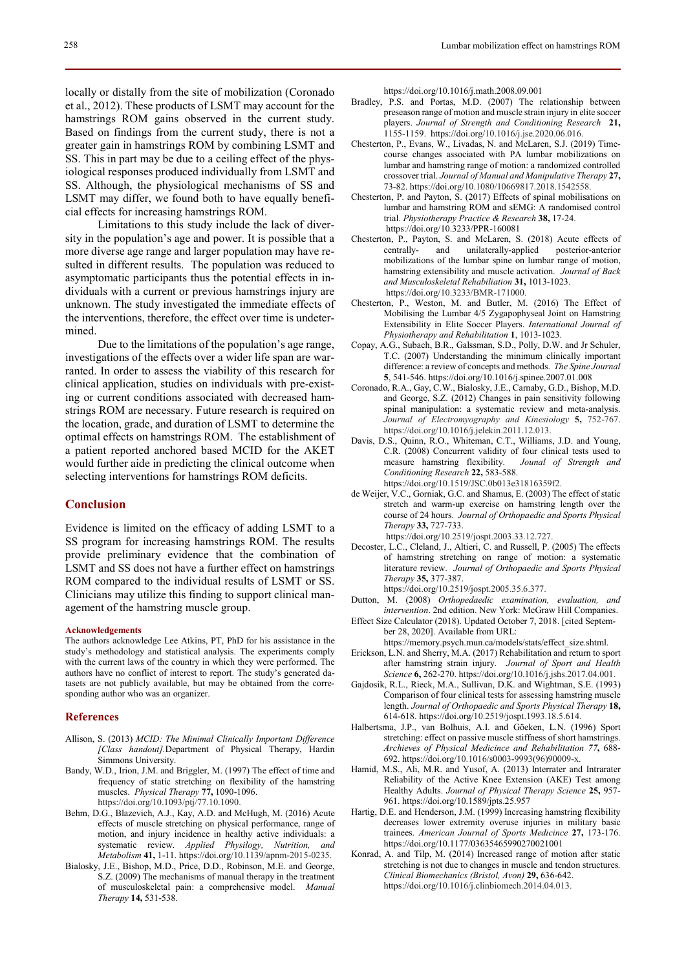locally or distally from the site of mobilization (Coronado et al., 2012). These products of LSMT may account for the hamstrings ROM gains observed in the current study. Based on findings from the current study, there is not a greater gain in hamstrings ROM by combining LSMT and SS. This in part may be due to a ceiling effect of the physiological responses produced individually from LSMT and SS. Although, the physiological mechanisms of SS and LSMT may differ, we found both to have equally beneficial effects for increasing hamstrings ROM.

Limitations to this study include the lack of diversity in the population's age and power. It is possible that a more diverse age range and larger population may have resulted in different results. The population was reduced to asymptomatic participants thus the potential effects in individuals with a current or previous hamstrings injury are unknown. The study investigated the immediate effects of the interventions, therefore, the effect over time is undetermined.

Due to the limitations of the population's age range, investigations of the effects over a wider life span are warranted. In order to assess the viability of this research for clinical application, studies on individuals with pre-existing or current conditions associated with decreased hamstrings ROM are necessary. Future research is required on the location, grade, and duration of LSMT to determine the optimal effects on hamstrings ROM. The establishment of a patient reported anchored based MCID for the AKET would further aide in predicting the clinical outcome when selecting interventions for hamstrings ROM deficits.

# **Conclusion**

Evidence is limited on the efficacy of adding LSMT to a SS program for increasing hamstrings ROM. The results provide preliminary evidence that the combination of LSMT and SS does not have a further effect on hamstrings ROM compared to the individual results of LSMT or SS. Clinicians may utilize this finding to support clinical management of the hamstring muscle group.

#### Acknowledgements

The authors acknowledge Lee Atkins, PT, PhD for his assistance in the study's methodology and statistical analysis. The experiments comply with the current laws of the country in which they were performed. The authors have no conflict of interest to report. The study's generated datasets are not publicly available, but may be obtained from the corresponding author who was an organizer.

#### References

- Allison, S. (2013) MCID: The Minimal Clinically Important Difference [Class handout].Department of Physical Therapy, Hardin Simmons University.
- Bandy, W.D., Irion, J.M. and Briggler, M. (1997) The effect of time and frequency of static stretching on flexibility of the hamstring muscles. Physical Therapy 77, 1090-1096. https://doi.org/10.1093/ptj/77.10.1090.
- Behm, D.G., Blazevich, A.J., Kay, A.D. and McHugh, M. (2016) Acute effects of muscle stretching on physical performance, range of motion, and injury incidence in healthy active individuals: a systematic review. Applied Physilogy, Nutrition, and Metabolism 41, 1-11. https://doi.org/10.1139/apnm-2015-0235.
- Bialosky, J.E., Bishop, M.D., Price, D.D., Robinson, M.E. and George, S.Z. (2009) The mechanisms of manual therapy in the treatment of musculoskeletal pain: a comprehensive model. Manual Therapy 14, 531-538.

https://doi.org/10.1016/j.math.2008.09.001

- Bradley, P.S. and Portas, M.D. (2007) The relationship between preseason range of motion and muscle strain injury in elite soccer players. Journal of Strength and Conditioning Research 21, 1155-1159. https://doi.org/10.1016/j.jse.2020.06.016.
- Chesterton, P., Evans, W., Livadas, N. and McLaren, S.J. (2019) Timecourse changes associated with PA lumbar mobilizations on lumbar and hamstring range of motion: a randomized controlled crossover trial. Journal of Manual and Manipulative Therapy 27, 73-82. https://doi.org/10.1080/10669817.2018.1542558.
- Chesterton, P. and Payton, S. (2017) Effects of spinal mobilisations on lumbar and hamstring ROM and sEMG: A randomised control trial. Physiotherapy Practice & Research 38, 17-24. https://doi.org/10.3233/PPR-160081
- Chesterton, P., Payton, S. and McLaren, S. (2018) Acute effects of centrally- and unilaterally-applied posterior-anterior mobilizations of the lumbar spine on lumbar range of motion, hamstring extensibility and muscle activation. Journal of Back and Musculoskeletal Rehabiliation 31, 1013-1023. https://doi.org/10.3233/BMR-171000.
- Chesterton, P., Weston, M. and Butler, M. (2016) The Effect of Mobilising the Lumbar 4/5 Zygapophyseal Joint on Hamstring Extensibility in Elite Soccer Players. International Journal of Physiotherapy and Rehabilitation 1, 1013-1023.
- Copay, A.G., Subach, B.R., Galssman, S.D., Polly, D.W. and Jr Schuler, T.C. (2007) Understanding the minimum clinically important difference: a review of concepts and methods. The Spine Journal 5, 541-546. https://doi.org/10.1016/j.spinee.2007.01.008
- Coronado, R.A., Gay, C.W., Bialosky, J.E., Carnaby, G.D., Bishop, M.D. and George, S.Z. (2012) Changes in pain sensitivity following spinal manipulation: a systematic review and meta-analysis. Journal of Electromyography and Kinesiology 5, 752-767. https://doi.org/10.1016/j.jelekin.2011.12.013.
- Davis, D.S., Quinn, R.O., Whiteman, C.T., Williams, J.D. and Young, C.R. (2008) Concurrent validity of four clinical tests used to measure hamstring flexibility. Jounal of Strength and measure hamstring flexibility. Conditioning Research 22, 583-588. https://doi.org/10.1519/JSC.0b013e31816359f2.
- de Weijer, V.C., Gorniak, G.C. and Shamus, E. (2003) The effect of static stretch and warm-up exercise on hamstring length over the course of 24 hours. Journal of Orthopaedic and Sports Physical Therapy 33, 727-733.
	- https://doi.org/10.2519/jospt.2003.33.12.727.
- Decoster, L.C., Cleland, J., Altieri, C. and Russell, P. (2005) The effects of hamstring stretching on range of motion: a systematic literature review. Journal of Orthopaedic and Sports Physical Therapy 35, 377-387. https://doi.org/10.2519/jospt.2005.35.6.377.
- Dutton, M. (2008) Orthopedaedic examination, evaluation, and intervention. 2nd edition. New York: McGraw Hill Companies.
- Effect Size Calculator (2018). Updated October 7, 2018. [cited September 28, 2020]. Available from URL:
	- https://memory.psych.mun.ca/models/stats/effect\_size.shtml.
- Erickson, L.N. and Sherry, M.A. (2017) Rehabilitation and return to sport after hamstring strain injury. Journal of Sport and Health Science 6, 262-270. https://doi.org/10.1016/j.jshs.2017.04.001.
- Gajdosik, R.L., Rieck, M.A., Sullivan, D.K. and Wightman, S.E. (1993) Comparison of four clinical tests for assessing hamstring muscle length. Journal of Orthopaedic and Sports Physical Therapy 18, 614-618. https://doi.org/10.2519/jospt.1993.18.5.614.
- Halbertsma, J.P., van Bolhuis, A.I. and Göeken, L.N. (1996) Sport stretching: effect on passive muscle stiffness of short hamstrings. Archieves of Physical Medicince and Rehabilitation 77, 688- 692. https://doi.org/10.1016/s0003-9993(96)90009-x.
- Hamid, M.S., Ali, M.R. and Yusof, A. (2013) Interrater and Intrarater Reliability of the Active Knee Extension (AKE) Test among Healthy Adults. Journal of Physical Therapy Science 25, 957- 961. https://doi.org/10.1589/jpts.25.957
- Hartig, D.E. and Henderson, J.M. (1999) Increasing hamstring flexibility decreases lower extremity overuse injuries in military basic trainees. American Journal of Sports Medicince 27, 173-176. https://doi.org/10.1177/03635465990270021001
- Konrad, A. and Tilp, M. (2014) Increased range of motion after static stretching is not due to changes in muscle and tendon structures. Clinical Biomechanics (Bristol, Avon) 29, 636-642. https://doi.org/10.1016/j.clinbiomech.2014.04.013.